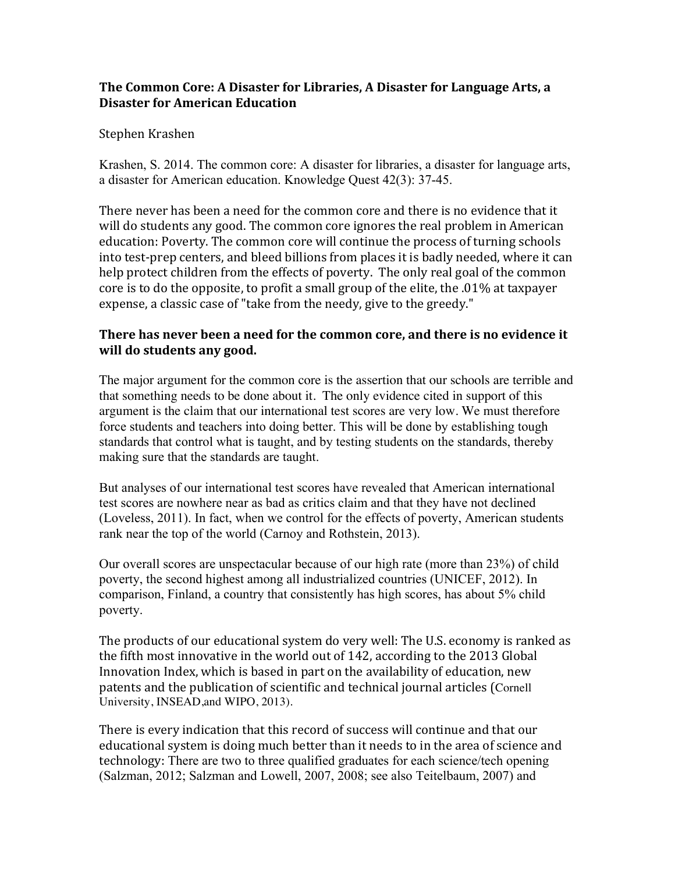### **The Common Core: A Disaster for Libraries, A Disaster for Language Arts, a Disaster for American Education**

#### Stephen Krashen

Krashen, S. 2014. The common core: A disaster for libraries, a disaster for language arts, a disaster for American education. Knowledge Quest 42(3): 37-45.

There never has been a need for the common core and there is no evidence that it will do students any good. The common core ignores the real problem in American education: Poverty. The common core will continue the process of turning schools into test-prep centers, and bleed billions from places it is badly needed, where it can help protect children from the effects of poverty. The only real goal of the common core is to do the opposite, to profit a small group of the elite, the  $.01\%$  at taxpayer expense, a classic case of "take from the needy, give to the greedy."

### **There has never been a need for the common core, and there is no evidence it will do students any good.**

The major argument for the common core is the assertion that our schools are terrible and that something needs to be done about it. The only evidence cited in support of this argument is the claim that our international test scores are very low. We must therefore force students and teachers into doing better. This will be done by establishing tough standards that control what is taught, and by testing students on the standards, thereby making sure that the standards are taught.

But analyses of our international test scores have revealed that American international test scores are nowhere near as bad as critics claim and that they have not declined (Loveless, 2011). In fact, when we control for the effects of poverty, American students rank near the top of the world (Carnoy and Rothstein, 2013).

Our overall scores are unspectacular because of our high rate (more than 23%) of child poverty, the second highest among all industrialized countries (UNICEF, 2012). In comparison, Finland, a country that consistently has high scores, has about 5% child poverty.

The products of our educational system do very well: The U.S. economy is ranked as the fifth most innovative in the world out of 142, according to the 2013 Global Innovation Index, which is based in part on the availability of education, new patents and the publication of scientific and technical journal articles (Cornell University, INSEAD,and WIPO, 2013).

There is every indication that this record of success will continue and that our educational system is doing much better than it needs to in the area of science and technology: There are two to three qualified graduates for each science/tech opening (Salzman, 2012; Salzman and Lowell, 2007, 2008; see also Teitelbaum, 2007) and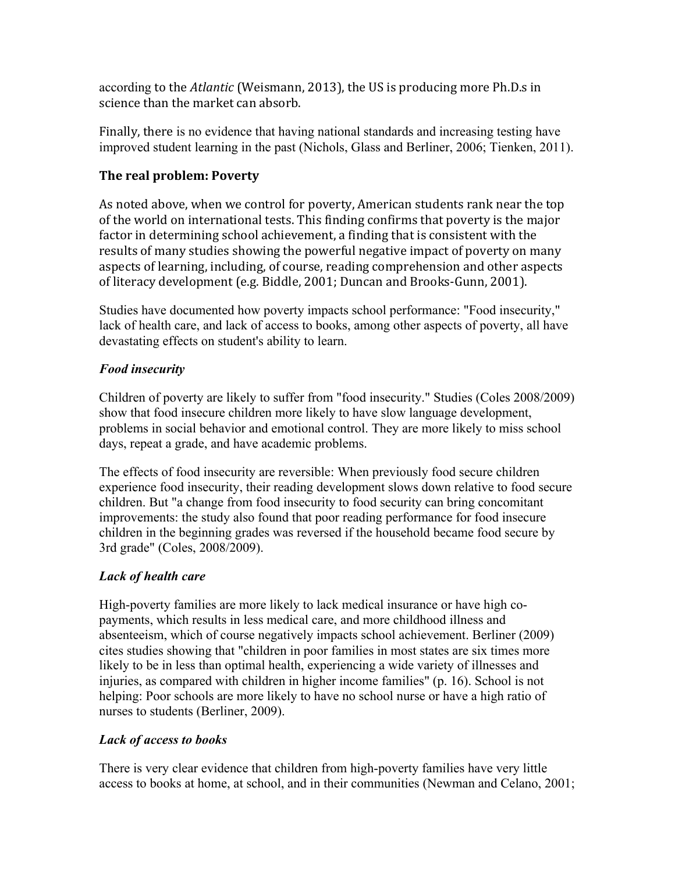according to the *Atlantic* (Weismann, 2013), the US is producing more Ph.D.s in science than the market can absorb.

Finally, there is no evidence that having national standards and increasing testing have improved student learning in the past (Nichols, Glass and Berliner, 2006; Tienken, 2011).

# **The real problem: Poverty**

As noted above, when we control for poverty, American students rank near the top of the world on international tests. This finding confirms that poverty is the major factor in determining school achievement, a finding that is consistent with the results of many studies showing the powerful negative impact of poverty on many aspects of learning, including, of course, reading comprehension and other aspects of literacy development (e.g. Biddle, 2001; Duncan and Brooks-Gunn, 2001).

Studies have documented how poverty impacts school performance: "Food insecurity," lack of health care, and lack of access to books, among other aspects of poverty, all have devastating effects on student's ability to learn.

# *Food insecurity*

Children of poverty are likely to suffer from "food insecurity." Studies (Coles 2008/2009) show that food insecure children more likely to have slow language development, problems in social behavior and emotional control. They are more likely to miss school days, repeat a grade, and have academic problems.

The effects of food insecurity are reversible: When previously food secure children experience food insecurity, their reading development slows down relative to food secure children. But "a change from food insecurity to food security can bring concomitant improvements: the study also found that poor reading performance for food insecure children in the beginning grades was reversed if the household became food secure by 3rd grade" (Coles, 2008/2009).

# *Lack of health care*

High-poverty families are more likely to lack medical insurance or have high copayments, which results in less medical care, and more childhood illness and absenteeism, which of course negatively impacts school achievement. Berliner (2009) cites studies showing that "children in poor families in most states are six times more likely to be in less than optimal health, experiencing a wide variety of illnesses and injuries, as compared with children in higher income families" (p. 16). School is not helping: Poor schools are more likely to have no school nurse or have a high ratio of nurses to students (Berliner, 2009).

## *Lack of access to books*

There is very clear evidence that children from high-poverty families have very little access to books at home, at school, and in their communities (Newman and Celano, 2001;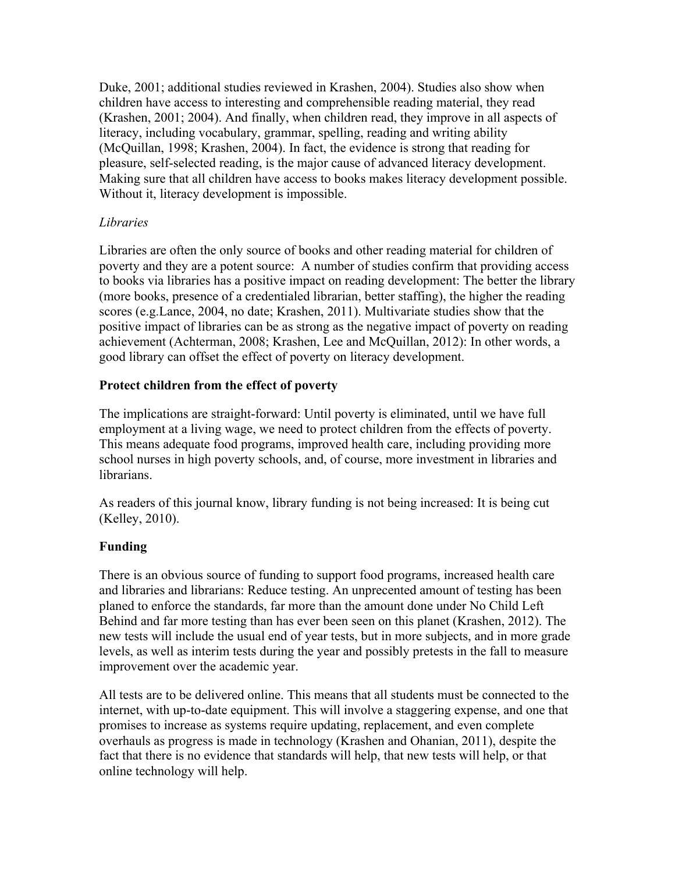Duke, 2001; additional studies reviewed in Krashen, 2004). Studies also show when children have access to interesting and comprehensible reading material, they read (Krashen, 2001; 2004). And finally, when children read, they improve in all aspects of literacy, including vocabulary, grammar, spelling, reading and writing ability (McQuillan, 1998; Krashen, 2004). In fact, the evidence is strong that reading for pleasure, self-selected reading, is the major cause of advanced literacy development. Making sure that all children have access to books makes literacy development possible. Without it, literacy development is impossible.

### *Libraries*

Libraries are often the only source of books and other reading material for children of poverty and they are a potent source: A number of studies confirm that providing access to books via libraries has a positive impact on reading development: The better the library (more books, presence of a credentialed librarian, better staffing), the higher the reading scores (e.g.Lance, 2004, no date; Krashen, 2011). Multivariate studies show that the positive impact of libraries can be as strong as the negative impact of poverty on reading achievement (Achterman, 2008; Krashen, Lee and McQuillan, 2012): In other words, a good library can offset the effect of poverty on literacy development.

### **Protect children from the effect of poverty**

The implications are straight-forward: Until poverty is eliminated, until we have full employment at a living wage, we need to protect children from the effects of poverty. This means adequate food programs, improved health care, including providing more school nurses in high poverty schools, and, of course, more investment in libraries and librarians.

As readers of this journal know, library funding is not being increased: It is being cut (Kelley, 2010).

### **Funding**

There is an obvious source of funding to support food programs, increased health care and libraries and librarians: Reduce testing. An unprecented amount of testing has been planed to enforce the standards, far more than the amount done under No Child Left Behind and far more testing than has ever been seen on this planet (Krashen, 2012). The new tests will include the usual end of year tests, but in more subjects, and in more grade levels, as well as interim tests during the year and possibly pretests in the fall to measure improvement over the academic year.

All tests are to be delivered online. This means that all students must be connected to the internet, with up-to-date equipment. This will involve a staggering expense, and one that promises to increase as systems require updating, replacement, and even complete overhauls as progress is made in technology (Krashen and Ohanian, 2011), despite the fact that there is no evidence that standards will help, that new tests will help, or that online technology will help.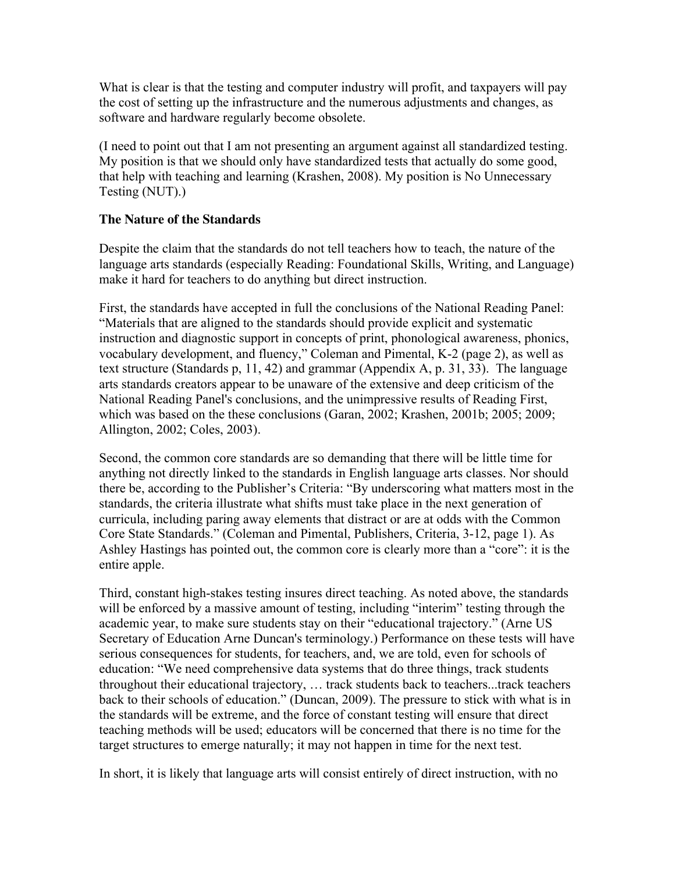What is clear is that the testing and computer industry will profit, and taxpayers will pay the cost of setting up the infrastructure and the numerous adjustments and changes, as software and hardware regularly become obsolete.

(I need to point out that I am not presenting an argument against all standardized testing. My position is that we should only have standardized tests that actually do some good, that help with teaching and learning (Krashen, 2008). My position is No Unnecessary Testing (NUT).)

#### **The Nature of the Standards**

Despite the claim that the standards do not tell teachers how to teach, the nature of the language arts standards (especially Reading: Foundational Skills, Writing, and Language) make it hard for teachers to do anything but direct instruction.

First, the standards have accepted in full the conclusions of the National Reading Panel: "Materials that are aligned to the standards should provide explicit and systematic instruction and diagnostic support in concepts of print, phonological awareness, phonics, vocabulary development, and fluency," Coleman and Pimental, K-2 (page 2), as well as text structure (Standards p, 11, 42) and grammar (Appendix A, p. 31, 33). The language arts standards creators appear to be unaware of the extensive and deep criticism of the National Reading Panel's conclusions, and the unimpressive results of Reading First, which was based on the these conclusions (Garan, 2002; Krashen, 2001b; 2005; 2009; Allington, 2002; Coles, 2003).

Second, the common core standards are so demanding that there will be little time for anything not directly linked to the standards in English language arts classes. Nor should there be, according to the Publisher's Criteria: "By underscoring what matters most in the standards, the criteria illustrate what shifts must take place in the next generation of curricula, including paring away elements that distract or are at odds with the Common Core State Standards." (Coleman and Pimental, Publishers, Criteria, 3-12, page 1). As Ashley Hastings has pointed out, the common core is clearly more than a "core": it is the entire apple.

Third, constant high-stakes testing insures direct teaching. As noted above, the standards will be enforced by a massive amount of testing, including "interim" testing through the academic year, to make sure students stay on their "educational trajectory." (Arne US Secretary of Education Arne Duncan's terminology.) Performance on these tests will have serious consequences for students, for teachers, and, we are told, even for schools of education: "We need comprehensive data systems that do three things, track students throughout their educational trajectory, … track students back to teachers...track teachers back to their schools of education." (Duncan, 2009). The pressure to stick with what is in the standards will be extreme, and the force of constant testing will ensure that direct teaching methods will be used; educators will be concerned that there is no time for the target structures to emerge naturally; it may not happen in time for the next test.

In short, it is likely that language arts will consist entirely of direct instruction, with no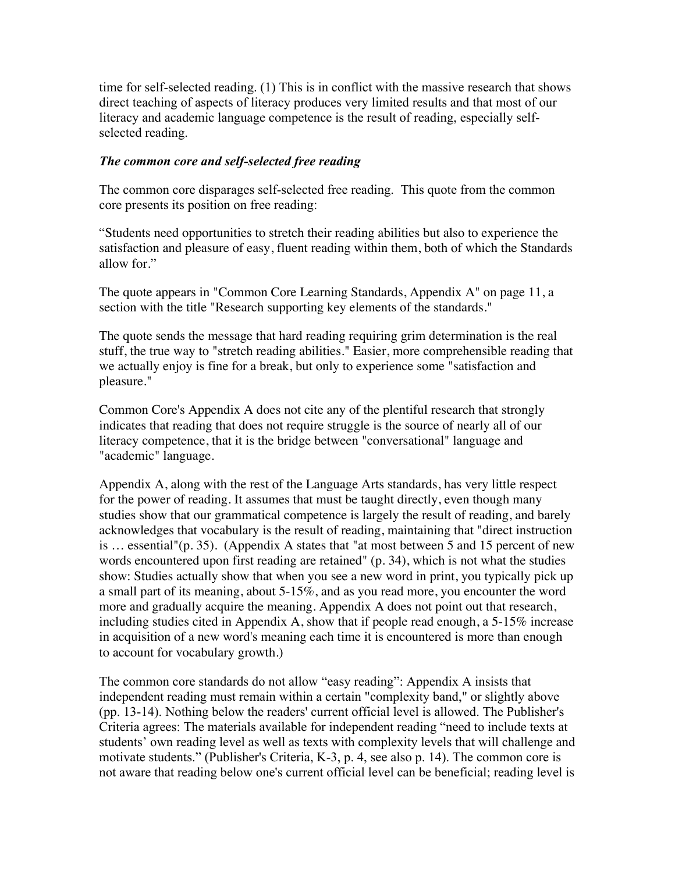time for self-selected reading. (1) This is in conflict with the massive research that shows direct teaching of aspects of literacy produces very limited results and that most of our literacy and academic language competence is the result of reading, especially selfselected reading.

#### *The common core and self-selected free reading*

The common core disparages self-selected free reading. This quote from the common core presents its position on free reading:

"Students need opportunities to stretch their reading abilities but also to experience the satisfaction and pleasure of easy, fluent reading within them, both of which the Standards allow for."

The quote appears in "Common Core Learning Standards, Appendix A" on page 11, a section with the title "Research supporting key elements of the standards."

The quote sends the message that hard reading requiring grim determination is the real stuff, the true way to "stretch reading abilities." Easier, more comprehensible reading that we actually enjoy is fine for a break, but only to experience some "satisfaction and pleasure."

Common Core's Appendix A does not cite any of the plentiful research that strongly indicates that reading that does not require struggle is the source of nearly all of our literacy competence, that it is the bridge between "conversational" language and "academic" language.

Appendix A, along with the rest of the Language Arts standards, has very little respect for the power of reading. It assumes that must be taught directly, even though many studies show that our grammatical competence is largely the result of reading, and barely acknowledges that vocabulary is the result of reading, maintaining that "direct instruction is … essential"(p. 35). (Appendix A states that "at most between 5 and 15 percent of new words encountered upon first reading are retained" (p. 34), which is not what the studies show: Studies actually show that when you see a new word in print, you typically pick up a small part of its meaning, about 5-15%, and as you read more, you encounter the word more and gradually acquire the meaning. Appendix A does not point out that research, including studies cited in Appendix A, show that if people read enough, a 5-15% increase in acquisition of a new word's meaning each time it is encountered is more than enough to account for vocabulary growth.)

The common core standards do not allow "easy reading": Appendix A insists that independent reading must remain within a certain "complexity band," or slightly above (pp. 13-14). Nothing below the readers' current official level is allowed. The Publisher's Criteria agrees: The materials available for independent reading "need to include texts at students' own reading level as well as texts with complexity levels that will challenge and motivate students." (Publisher's Criteria, K-3, p. 4, see also p. 14). The common core is not aware that reading below one's current official level can be beneficial; reading level is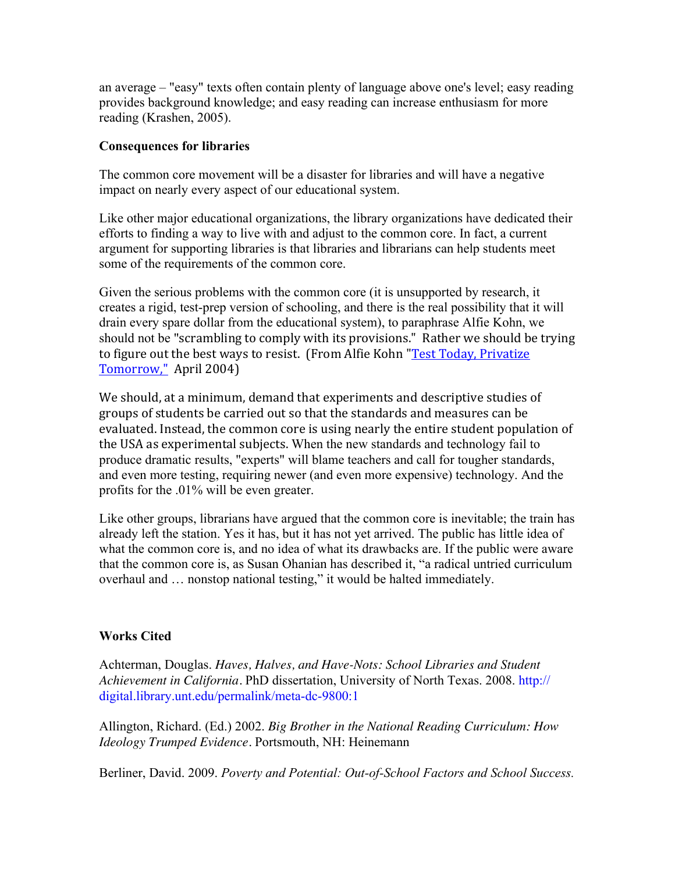an average – "easy" texts often contain plenty of language above one's level; easy reading provides background knowledge; and easy reading can increase enthusiasm for more reading (Krashen, 2005).

#### **Consequences for libraries**

The common core movement will be a disaster for libraries and will have a negative impact on nearly every aspect of our educational system.

Like other major educational organizations, the library organizations have dedicated their efforts to finding a way to live with and adjust to the common core. In fact, a current argument for supporting libraries is that libraries and librarians can help students meet some of the requirements of the common core.

Given the serious problems with the common core (it is unsupported by research, it creates a rigid, test-prep version of schooling, and there is the real possibility that it will drain every spare dollar from the educational system), to paraphrase Alfie Kohn, we should not be "scrambling to comply with its provisions." Rather we should be trying to figure out the best ways to resist. (From Alfie Kohn "Test Today, Privatize Tomorrow," April 2004)

We should, at a minimum, demand that experiments and descriptive studies of groups of students be carried out so that the standards and measures can be evaluated. Instead, the common core is using nearly the entire student population of the USA as experimental subjects. When the new standards and technology fail to produce dramatic results, "experts" will blame teachers and call for tougher standards, and even more testing, requiring newer (and even more expensive) technology. And the profits for the .01% will be even greater.

Like other groups, librarians have argued that the common core is inevitable; the train has already left the station. Yes it has, but it has not yet arrived. The public has little idea of what the common core is, and no idea of what its drawbacks are. If the public were aware that the common core is, as Susan Ohanian has described it, "a radical untried curriculum overhaul and … nonstop national testing," it would be halted immediately.

### **Works Cited**

Achterman, Douglas. *Haves, Halves, and Have-Nots: School Libraries and Student Achievement in California.* PhD dissertation, University of North Texas. 2008. http:// digital.library.unt.edu/permalink/meta-dc-9800:1

Allington, Richard. (Ed.) 2002. *Big Brother in the National Reading Curriculum: How Ideology Trumped Evidence.* Portsmouth, NH: Heinemann

Berliner, David. 2009. *Poverty and Potential: Out-of-School Factors and School Success.*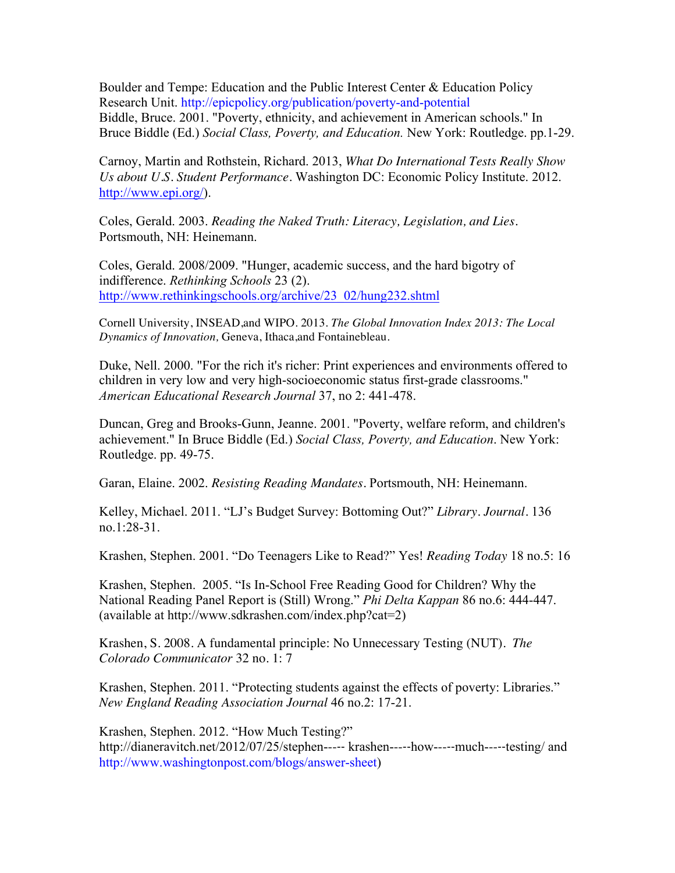Boulder and Tempe: Education and the Public Interest Center & Education Policy Research Unit. http://epicpolicy.org/publication/poverty-and-potential Biddle, Bruce. 2001. "Poverty, ethnicity, and achievement in American schools." In Bruce Biddle (Ed.) *Social Class, Poverty, and Education.* New York: Routledge. pp.1-29.

Carnoy, Martin and Rothstein, Richard. 2013, *What Do International Tests Really Show Us about U.S. Student Performance.* Washington DC: Economic Policy Institute. 2012. http://www.epi.org/).

Coles, Gerald. 2003. *Reading the Naked Truth: Literacy, Legislation, and Lies.* Portsmouth, NH: Heinemann.

Coles, Gerald. 2008/2009. "Hunger, academic success, and the hard bigotry of indifference. *Rethinking Schools* 23 (2). http://www.rethinkingschools.org/archive/23\_02/hung232.shtml

Cornell University, INSEAD,and WIPO. 2013. *The Global Innovation Index 2013: The Local Dynamics of Innovation,* Geneva, Ithaca,and Fontainebleau.

Duke, Nell. 2000. "For the rich it's richer: Print experiences and environments offered to children in very low and very high-socioeconomic status first-grade classrooms." *American Educational Research Journal* 37, no 2: 441-478.

Duncan, Greg and Brooks-Gunn, Jeanne. 2001. "Poverty, welfare reform, and children's achievement." In Bruce Biddle (Ed.) *Social Class, Poverty, and Education*. New York: Routledge. pp. 49-75.

Garan, Elaine. 2002. *Resisting Reading Mandates.* Portsmouth, NH: Heinemann.

Kelley, Michael. 2011. "LJ's Budget Survey: Bottoming Out?" *Library. Journal.* 136 no.1:28-31.

Krashen, Stephen. 2001. "Do Teenagers Like to Read?" Yes! *Reading Today* 18 no.5: 16

Krashen, Stephen. 2005. "Is In-School Free Reading Good for Children? Why the National Reading Panel Report is (Still) Wrong." *Phi Delta Kappan* 86 no.6: 444-447. (available at http://www.sdkrashen.com/index.php?cat=2)

Krashen, S. 2008. A fundamental principle: No Unnecessary Testing (NUT). *The Colorado Communicator* 32 no. 1: 7

Krashen, Stephen. 2011. "Protecting students against the effects of poverty: Libraries." *New England Reading Association Journal* 46 no.2: 17-21.

Krashen, Stephen. 2012. "How Much Testing?" http://dianeravitch.net/2012/07/25/stephen----- krashen-----how-----much-----testing/ and http://www.washingtonpost.com/blogs/answer-sheet)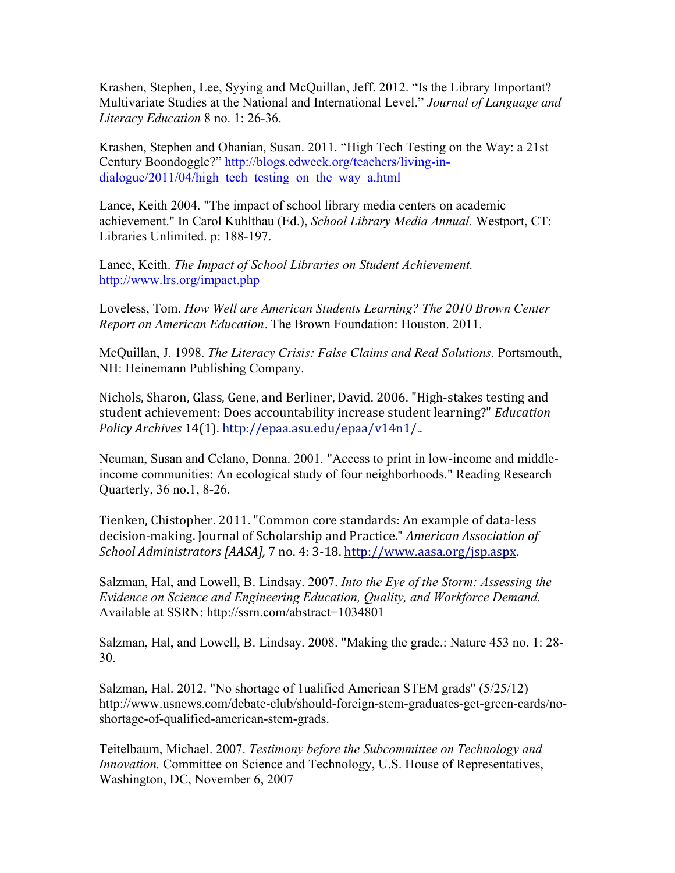Krashen, Stephen, Lee, Syying and McQuillan, Jeff. 2012. "Is the Library Important? Multivariate Studies at the National and International Level." *Journal of Language and Literacy Education* 8 no. 1: 26-36.

Krashen, Stephen and Ohanian, Susan. 2011. "High Tech Testing on the Way: a 21st Century Boondoggle?" http://blogs.edweek.org/teachers/living-indialogue/2011/04/high tech testing on the way a.html

Lance, Keith 2004. "The impact of school library media centers on academic achievement." In Carol Kuhlthau (Ed.), *School Library Media Annual.* Westport, CT: Libraries Unlimited. p: 188-197.

Lance, Keith. *The Impact of School Libraries on Student Achievement.* http://www.lrs.org/impact.php

Loveless, Tom. *How Well are American Students Learning? The 2010 Brown Center Report on American Education.* The Brown Foundation: Houston. 2011.

McQuillan, J. 1998. *The Literacy Crisis: False Claims and Real Solutions*. Portsmouth, NH: Heinemann Publishing Company.

Nichols, Sharon, Glass, Gene, and Berliner, David. 2006. "High-stakes testing and student achievement: Does accountability increase student learning?" *Education* Policy Archives 14(1). http://epaa.asu.edu/epaa/v14n1/...

Neuman, Susan and Celano, Donna. 2001. "Access to print in low-income and middleincome communities: An ecological study of four neighborhoods." Reading Research Quarterly, 36 no.1, 8-26.

Tienken, Chistopher. 2011. "Common core standards: An example of data-less decision-making. Journal of Scholarship and Practice." *American Association of School Administrators [AASA],* 7 no. 4: 3-18. http://www.aasa.org/jsp.aspx.

Salzman, Hal, and Lowell, B. Lindsay. 2007. *Into the Eye of the Storm: Assessing the Evidence on Science and Engineering Education, Quality, and Workforce Demand.* Available at SSRN: http://ssrn.com/abstract=1034801

Salzman, Hal, and Lowell, B. Lindsay. 2008. "Making the grade.: Nature 453 no. 1: 28- 30.

Salzman, Hal. 2012. "No shortage of 1ualified American STEM grads" (5/25/12) http://www.usnews.com/debate-club/should-foreign-stem-graduates-get-green-cards/noshortage-of-qualified-american-stem-grads.

Teitelbaum, Michael. 2007. *Testimony before the Subcommittee on Technology and Innovation.* Committee on Science and Technology, U.S. House of Representatives, Washington, DC, November 6, 2007